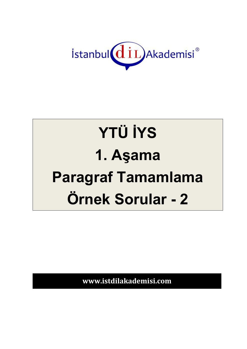

## **YTÜ İYS 1. Aşama Paragraf Tamamlama Örnek Sorular - 2**

**www.istdilakademisi.com**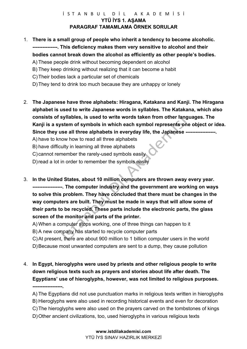## İSTANBUL DİL AKADEMİSİ **YTÜ İYS 1. AŞAMA PARAGRAF TAMAMLAMA ÖRNEK SORULAR**

- 1. **There is a small group of people who inherit a tendency to become alcoholic. ---------------. This deficiency makes them very sensitive to alcohol and their bodies cannot break down the alcohol as efficiently as other people's bodies.**
	- A) These people drink without becoming dependent on alcohol
	- B) They keep drinking without realizing that it can become a habit
	- C)Their bodies lack a particular set of chemicals
	- D)They tend to drink too much because they are unhappy or lonely
- 2. **The Japanese have three alphabets: Hiragana, Katakana and Kanji. The Hiragana alphabet is used to write Japanese words in syllables. The Katakana, which also consists of syllables, is used to write words taken from other languages. The Kanji is a system of symbols in which each symbol represents one object or idea. Since they use all three alphabets in everyday life, the Japanese ------------------.**
	- A) have to know how to read all three alphabets
	- B) have difficulty in learning all three alphabets
	- C) cannot remember the rarely-used symbols easily
	- D)read a lot in order to remember the symbols easily
- 3. **In the United States, about 10 million computers are thrown away every year. ------------------. The computer industry and the government are working on ways to solve this problem. They have concluded that there must be changes in the way computers are built. They must be made in ways that will allow some of their parts to be recycled. These parts include the electronic parts, the glass screen of the monitor and parts of the printer.**
	- A) When a computer stops working, one of three things can happen to it
	- B) A new company has started to recycle computer parts
	- C)At present, there are about 900 million to 1 billion computer users in the world
	- D)Because most unwanted computers are sent to a dump, they cause pollution
- 4. **In Egypt, hieroglyphs were used by priests and other religious people to write down religious texts such as prayers and stories about life after death. The Egyptians' use of hieroglyphs, however, was not limited to religious purposes. ------------------.**
	- A) The Egyptians did not use punctuation marks in religious texts written in hieroglyphs
	- B) Hieroglyphs were also used in recording historical events and even for decoration
	- C)The hieroglyphs were also used on the prayers carved on the tombstones of kings
	- D)Other ancient civilizations, too, used hieroglyphs in various religious texts